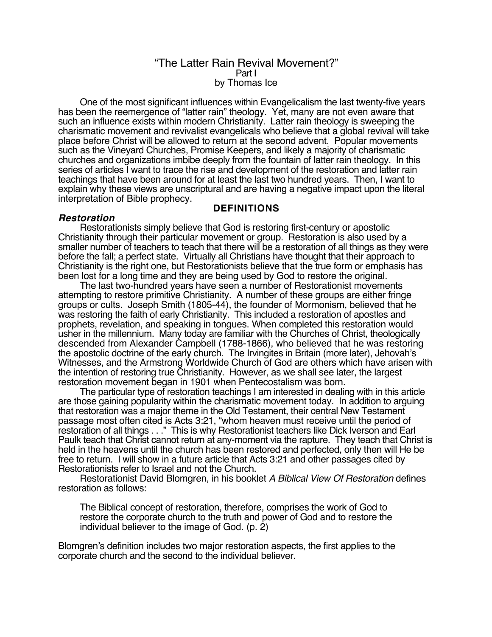## "The Latter Rain Revival Movement?" Part I by Thomas Ice

One of the most significant influences within Evangelicalism the last twenty-five years has been the reemergence of "latter rain" theology. Yet, many are not even aware that such an influence exists within modern Christianity. Latter rain theology is sweeping the charismatic movement and revivalist evangelicals who believe that a global revival will take place before Christ will be allowed to return at the second advent. Popular movements such as the Vineyard Churches, Promise Keepers, and likely a majority of charismatic churches and organizations imbibe deeply from the fountain of latter rain theology. In this series of articles I want to trace the rise and development of the restoration and latter rain teachings that have been around for at least the last two hundred years. Then, I want to explain why these views are unscriptural and are having a negative impact upon the literal interpretation of Bible prophecy.

## **DEFINITIONS**

## **Restoration**

Restorationists simply believe that God is restoring first-century or apostolic Christianity through their particular movement or group. Restoration is also used by a smaller number of teachers to teach that there will be a restoration of all things as they were before the fall; a perfect state. Virtually all Christians have thought that their approach to Christianity is the right one, but Restorationists believe that the true form or emphasis has been lost for a long time and they are being used by God to restore the original.

The last two-hundred years have seen a number of Restorationist movements attempting to restore primitive Christianity. A number of these groups are either fringe groups or cults. Joseph Smith (1805-44), the founder of Mormonism, believed that he was restoring the faith of early Christianity. This included a restoration of apostles and prophets, revelation, and speaking in tongues. When completed this restoration would usher in the millennium. Many today are familiar with the Churches of Christ, theologically descended from Alexander Campbell (1788-1866), who believed that he was restoring the apostolic doctrine of the early church. The Irvingites in Britain (more later), Jehovah's Witnesses, and the Armstrong Worldwide Church of God are others which have arisen with the intention of restoring true Christianity. However, as we shall see later, the largest restoration movement began in 1901 when Pentecostalism was born.

The particular type of restoration teachings I am interested in dealing with in this article are those gaining popularity within the charismatic movement today. In addition to arguing that restoration was a major theme in the Old Testament, their central New Testament passage most often cited is Acts 3:21, "whom heaven must receive until the period of restoration of all things . . ." This is why Restorationist teachers like Dick Iverson and Earl Paulk teach that Christ cannot return at any-moment via the rapture. They teach that Christ is held in the heavens until the church has been restored and perfected, only then will He be free to return. I will show in a future article that Acts 3:21 and other passages cited by Restorationists refer to Israel and not the Church.

Restorationist David Blomgren, in his booklet A Biblical View Of Restoration defines restoration as follows:

The Biblical concept of restoration, therefore, comprises the work of God to restore the corporate church to the truth and power of God and to restore the individual believer to the image of God. (p. 2)

Blomgren's definition includes two major restoration aspects, the first applies to the corporate church and the second to the individual believer.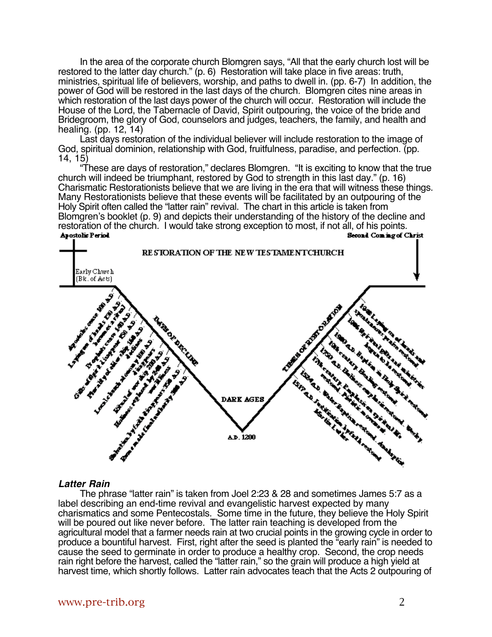In the area of the corporate church Blomgren says, "All that the early church lost will be restored to the latter day church." (p. 6) Restoration will take place in five areas: truth, ministries, spiritual life of believers, worship, and paths to dwell in. (pp. 6-7) In addition, the power of God will be restored in the last days of the church. Blomgren cites nine areas in which restoration of the last days power of the church will occur. Restoration will include the House of the Lord, the Tabernacle of David, Spirit outpouring, the voice of the bride and Bridegroom, the glory of God, counselors and judges, teachers, the family, and health and healing. (pp. 12, 14)

Last days restoration of the individual believer will include restoration to the image of God, spiritual dominion, relationship with God, fruitfulness, paradise, and perfection. (pp. 14, 15)

"These are days of restoration," declares Blomgren. "It is exciting to know that the true church will indeed be triumphant, restored by God to strength in this last day." (p. 16) Charismatic Restorationists believe that we are living in the era that will witness these things. Many Restorationists believe that these events will be facilitated by an outpouring of the Holy Spirit often called the "latter rain" revival. The chart in this article is taken from Blomgren's booklet (p. 9) and depicts their understanding of the history of the decline and restoration of the church. I would take strong exception to most, if not all, of his points.<br>Apostolic Period Christ



#### **Latter Rain**

The phrase "latter rain" is taken from Joel 2:23 & 28 and sometimes James 5:7 as a label describing an end-time revival and evangelistic harvest expected by many charismatics and some Pentecostals. Some time in the future, they believe the Holy Spirit will be poured out like never before. The latter rain teaching is developed from the agricultural model that a farmer needs rain at two crucial points in the growing cycle in order to produce a bountiful harvest. First, right after the seed is planted the "early rain" is needed to cause the seed to germinate in order to produce a healthy crop. Second, the crop needs rain right before the harvest, called the "latter rain," so the grain will produce a high yield at harvest time, which shortly follows. Latter rain advocates teach that the Acts 2 outpouring of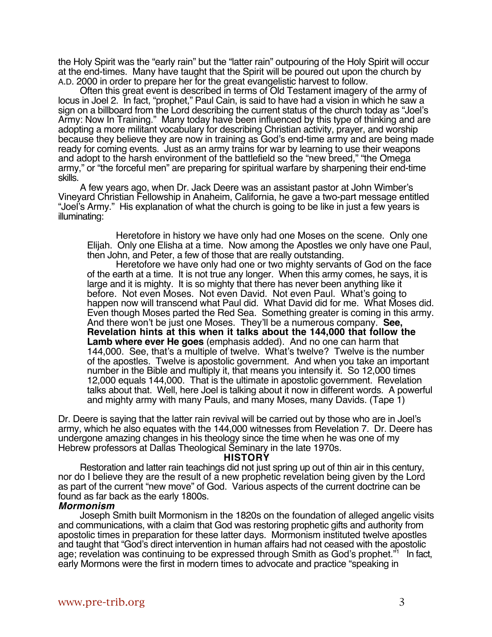the Holy Spirit was the "early rain" but the "latter rain" outpouring of the Holy Spirit will occur at the end-times. Many have taught that the Spirit will be poured out upon the church by A.D. 2000 in order to prepare her for the great evangelistic harvest to follow.

Often this great event is described in terms of Old Testament imagery of the army of locus in Joel 2. In fact, "prophet," Paul Cain, is said to have had a vision in which he saw a sign on a billboard from the Lord describing the current status of the church today as "Joel's Army: Now In Training." Many today have been influenced by this type of thinking and are adopting a more militant vocabulary for describing Christian activity, prayer, and worship because they believe they are now in training as God's end-time army and are being made ready for coming events. Just as an army trains for war by learning to use their weapons and adopt to the harsh environment of the battlefield so the "new breed," "the Omega army," or "the forceful men" are preparing for spiritual warfare by sharpening their end-time skills.

A few years ago, when Dr. Jack Deere was an assistant pastor at John Wimber's Vineyard Christian Fellowship in Anaheim, California, he gave a two-part message entitled "Joel's Army." His explanation of what the church is going to be like in just a few years is illuminating:

Heretofore in history we have only had one Moses on the scene. Only one Elijah. Only one Elisha at a time. Now among the Apostles we only have one Paul, then John, and Peter, a few of those that are really outstanding.

Heretofore we have only had one or two mighty servants of God on the face of the earth at a time. It is not true any longer. When this army comes, he says, it is large and it is mighty. It is so mighty that there has never been anything like it before. Not even Moses. Not even David. Not even Paul. What's going to happen now will transcend what Paul did. What David did for me. What Moses did. Even though Moses parted the Red Sea. Something greater is coming in this army. And there won't be just one Moses. They'll be a numerous company. **See, Revelation hints at this when it talks about the 144,000 that follow the Lamb where ever He goes** (emphasis added). And no one can harm that 144,000. See, that's a multiple of twelve. What's twelve? Twelve is the number of the apostles. Twelve is apostolic government. And when you take an important number in the Bible and multiply it, that means you intensify it. So 12,000 times 12,000 equals 144,000. That is the ultimate in apostolic government. Revelation talks about that. Well, here Joel is talking about it now in different words. A powerful and mighty army with many Pauls, and many Moses, many Davids. (Tape 1)

Dr. Deere is saying that the latter rain revival will be carried out by those who are in Joel's army, which he also equates with the 144,000 witnesses from Revelation 7. Dr. Deere has undergone amazing changes in his theology since the time when he was one of my Hebrew professors at Dallas Theological Seminary in the late 1970s.

#### **HISTORY**

Restoration and latter rain teachings did not just spring up out of thin air in this century, nor do I believe they are the result of a new prophetic revelation being given by the Lord as part of the current "new move" of God. Various aspects of the current doctrine can be found as far back as the early 1800s.

#### **Mormonism**

Joseph Smith built Mormonism in the 1820s on the foundation of alleged angelic visits and communications, with a claim that God was restoring prophetic gifts and authority from apostolic times in preparation for these latter days. Mormonism instituted twelve apostles and taught that "God's direct intervention in human affairs had not ceased with the apostolic age; revelation was continuing to be expressed through Smith as God's prophet."<sup>1</sup> In fact, early Mormons were the first in modern times to advocate and practice "speaking in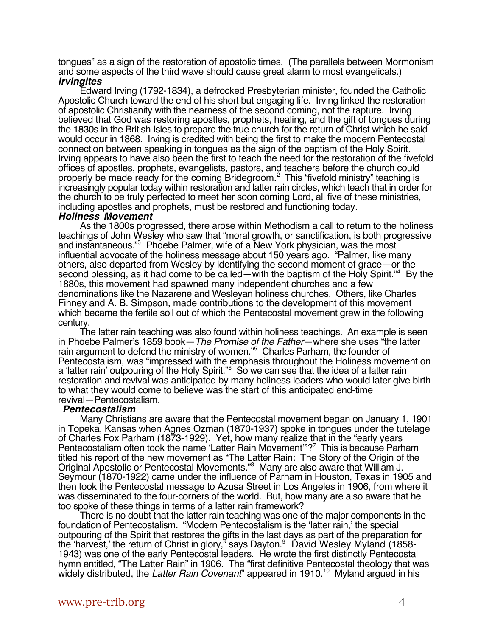tongues" as a sign of the restoration of apostolic times. (The parallels between Mormonism and some aspects of the third wave should cause great alarm to most evangelicals.) **Irvingites**

Edward Irving (1792-1834), a defrocked Presbyterian minister, founded the Catholic Apostolic Church toward the end of his short but engaging life. Irving linked the restoration of apostolic Christianity with the nearness of the second coming, not the rapture. Irving believed that God was restoring apostles, prophets, healing, and the gift of tongues during the 1830s in the British Isles to prepare the true church for the return of Christ which he said would occur in 1868. Irving is credited with being the first to make the modern Pentecostal connection between speaking in tongues as the sign of the baptism of the Holy Spirit. Irving appears to have also been the first to teach the need for the restoration of the fivefold offices of apostles, prophets, evangelists, pastors, and teachers before the church could properly be made ready for the coming Bridegroom.<sup>2</sup> This "fivefold ministry" teaching is increasingly popular today within restoration and latter rain circles, which teach that in order for the church to be truly perfected to meet her soon coming Lord, all five of these ministries, including apostles and prophets, must be restored and functioning today.

#### **Holiness Movement**

As the 1800s progressed, there arose within Methodism a call to return to the holiness teachings of John Wesley who saw that "moral growth, or sanctification, is both progressive and instantaneous."3 Phoebe Palmer, wife of a New York physician, was the most influential advocate of the holiness message about 150 years ago. "Palmer, like many others, also departed from Wesley by identifying the second moment of grace—or the second blessing, as it had come to be called—with the baptism of the Holy Spirit."<sup>4</sup> By the 1880s, this movement had spawned many independent churches and a few denominations like the Nazarene and Wesleyan holiness churches. Others, like Charles Finney and A. B. Simpson, made contributions to the development of this movement which became the fertile soil out of which the Pentecostal movement grew in the following century.

The latter rain teaching was also found within holiness teachings. An example is seen in Phoebe Palmer's 1859 book—The Promise of the Father—where she uses "the latter rain argument to defend the ministry of women."<sup>5</sup> Charles Parham, the founder of Pentecostalism, was "impressed with the emphasis throughout the Holiness movement on a 'latter rain' outpouring of the Holy Spirit."6 So we can see that the idea of a latter rain restoration and revival was anticipated by many holiness leaders who would later give birth to what they would come to believe was the start of this anticipated end-time revival—Pentecostalism.

#### **Pentecostalism**

Many Christians are aware that the Pentecostal movement began on January 1, 1901 in Topeka, Kansas when Agnes Ozman (1870-1937) spoke in tongues under the tutelage of Charles Fox Parham (1873-1929). Yet, how many realize that in the "early years Pentecostalism often took the name 'Latter Rain Movement"?<sup>7</sup> This is because Parham titled his report of the new movement as "The Latter Rain: The Story of the Origin of the Original Apostolic or Pentecostal Movements."<sup>8</sup> Many are also aware that William J. Seymour (1870-1922) came under the influence of Parham in Houston, Texas in 1905 and then took the Pentecostal message to Azusa Street in Los Angeles in 1906, from where it was disseminated to the four-corners of the world. But, how many are also aware that he too spoke of these things in terms of a latter rain framework?

There is no doubt that the latter rain teaching was one of the major components in the foundation of Pentecostalism. "Modern Pentecostalism is the 'latter rain,' the special outpouring of the Spirit that restores the gifts in the last days as part of the preparation for the 'harvest,' the return of Christ in glory," says Dayton.<sup>9</sup> David Wesley Myland (1858-1943) was one of the early Pentecostal leaders. He wrote the first distinctly Pentecostal hymn entitled, "The Latter Rain" in 1906. The "first definitive Pentecostal theology that was widely distributed, the Latter Rain Covenant' appeared in 1910.<sup>10</sup> Myland argued in his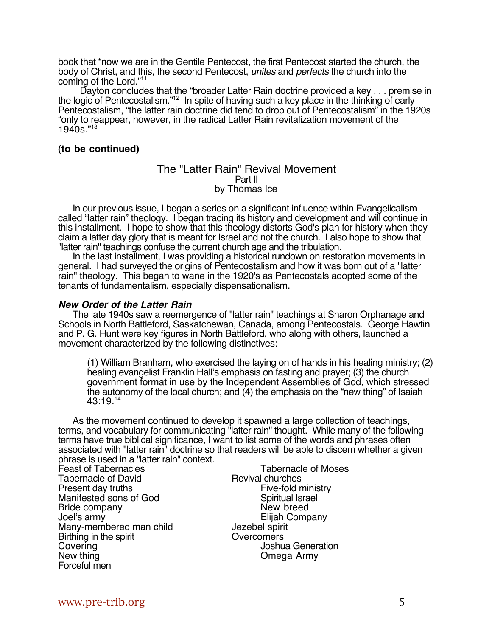book that "now we are in the Gentile Pentecost, the first Pentecost started the church, the body of Christ, and this, the second Pentecost, unites and perfects the church into the coming of the Lord."<sup>11</sup>

Dayton concludes that the "broader Latter Rain doctrine provided a key . . . premise in the logic of Pentecostalism."<sup>12</sup> In spite of having such a key place in the thinking of early Pentecostalism, "the latter rain doctrine did tend to drop out of Pentecostalism" in the 1920s "only to reappear, however, in the radical Latter Rain revitalization movement of the 1940s."13

## **(to be continued)**

## The "Latter Rain" Revival Movement Part II by Thomas Ice

In our previous issue, I began a series on a significant influence within Evangelicalism called "latter rain" theology. I began tracing its history and development and will continue in this installment. I hope to show that this theology distorts God's plan for history when they claim a latter day glory that is meant for Israel and not the church. I also hope to show that "latter rain" teachings confuse the current church age and the tribulation.

In the last installment, I was providing a historical rundown on restoration movements in general. I had surveyed the origins of Pentecostalism and how it was born out of a "latter rain" theology. This began to wane in the 1920's as Pentecostals adopted some of the tenants of fundamentalism, especially dispensationalism.

## **New Order of the Latter Rain**

The late 1940s saw a reemergence of "latter rain" teachings at Sharon Orphanage and Schools in North Battleford, Saskatchewan, Canada, among Pentecostals. George Hawtin and P. G. Hunt were key figures in North Battleford, who along with others, launched a movement characterized by the following distinctives:

(1) William Branham, who exercised the laying on of hands in his healing ministry; (2) healing evangelist Franklin Hall's emphasis on fasting and prayer; (3) the church government format in use by the Independent Assemblies of God, which stressed the autonomy of the local church; and (4) the emphasis on the "new thing" of Isaiah  $43:19^{14}$ 

As the movement continued to develop it spawned a large collection of teachings, terms, and vocabulary for communicating "latter rain" thought. While many of the following terms have true biblical significance, I want to list some of the words and phrases often associated with "latter rain" doctrine so that readers will be able to discern whether a given phrase is used in a "latter rain" context.<br>Feast of Tabernacles

Tabernacle of David<br>
Present day truths<br>
Present day truths<br>
Revival churches<br>
Five-fold ministry Present day truths<br>
Manifested sons of God
Five-fold ministration of God
Fig. 2012 Manifested sons of God Bride company New breed<br>
Joel's army New Elijah Comp Many-membered man child and dezebel spirit<br>Birthing in the spirit contract of Overcomers Birthing in the spirit Covering Covering Covering Covering Covering Joshua Generation<br>
New thing Covers Comeda Army Forceful men

Tabernacle of Moses<br>Revival churches Elijah Company<br>Jezebel spirit Omega Army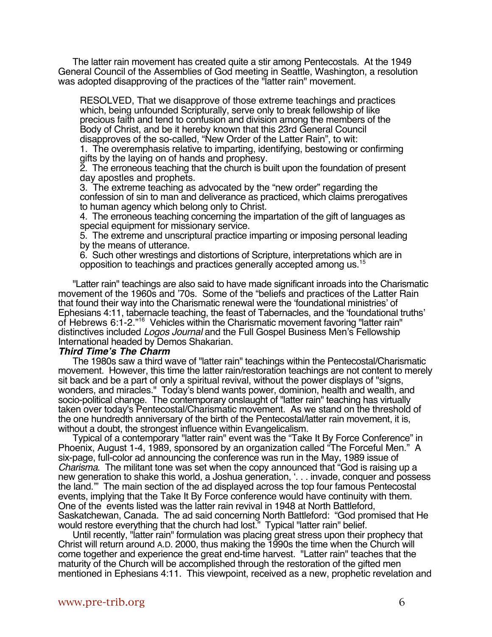The latter rain movement has created quite a stir among Pentecostals. At the 1949 General Council of the Assemblies of God meeting in Seattle, Washington, a resolution was adopted disapproving of the practices of the "latter rain" movement.

RESOLVED, That we disapprove of those extreme teachings and practices which, being unfounded Scripturally, serve only to break fellowship of like precious faith and tend to confusion and division among the members of the Body of Christ, and be it hereby known that this 23rd General Council disapproves of the so-called, "New Order of the Latter Rain", to wit:

1. The overemphasis relative to imparting, identifying, bestowing or confirming gifts by the laying on of hands and prophesy.

2. The erroneous teaching that the church is built upon the foundation of present day apostles and prophets.

3. The extreme teaching as advocated by the "new order" regarding the confession of sin to man and deliverance as practiced, which claims prerogatives to human agency which belong only to Christ.

4. The erroneous teaching concerning the impartation of the gift of languages as special equipment for missionary service.

5. The extreme and unscriptural practice imparting or imposing personal leading by the means of utterance.

6. Such other wrestings and distortions of Scripture, interpretations which are in opposition to teachings and practices generally accepted among us.15

"Latter rain" teachings are also said to have made significant inroads into the Charismatic movement of the 1960s and '70s. Some of the "beliefs and practices of the Latter Rain that found their way into the Charismatic renewal were the 'foundational ministries' of Ephesians 4:11, tabernacle teaching, the feast of Tabernacles, and the 'foundational truths' of Hebrews 6:1-2."<sup>16</sup> Vehicles within the Charismatic movement favoring "latter rain" distinctives included Logos Journal and the Full Gospel Business Men's Fellowship International headed by Demos Shakarian.

#### **Third Time's The Charm**

The 1980s saw a third wave of "latter rain" teachings within the Pentecostal/Charismatic movement. However, this time the latter rain/restoration teachings are not content to merely sit back and be a part of only a spiritual revival, without the power displays of "signs, wonders, and miracles." Today's blend wants power, dominion, health and wealth, and socio-political change. The contemporary onslaught of "latter rain" teaching has virtually taken over today's Pentecostal/Charismatic movement. As we stand on the threshold of the one hundredth anniversary of the birth of the Pentecostal/latter rain movement, it is, without a doubt, the strongest influence within Evangelicalism.

Typical of a contemporary "latter rain" event was the "Take It By Force Conference" in Phoenix, August 1-4, 1989, sponsored by an organization called "The Forceful Men." A six-page, full-color ad announcing the conference was run in the May, 1989 issue of Charisma. The militant tone was set when the copy announced that "God is raising up a new generation to shake this world, a Joshua generation, '. . . invade, conquer and possess the land.'" The main section of the ad displayed across the top four famous Pentecostal events, implying that the Take It By Force conference would have continuity with them. One of the events listed was the latter rain revival in 1948 at North Battleford, Saskatchewan, Canada. The ad said concerning North Battleford: "God promised that He would restore everything that the church had lost." Typical "latter rain" belief.

Until recently, "latter rain" formulation was placing great stress upon their prophecy that Christ will return around A.D. 2000, thus making the 1990s the time when the Church will come together and experience the great end-time harvest. "Latter rain" teaches that the maturity of the Church will be accomplished through the restoration of the gifted men mentioned in Ephesians 4:11. This viewpoint, received as a new, prophetic revelation and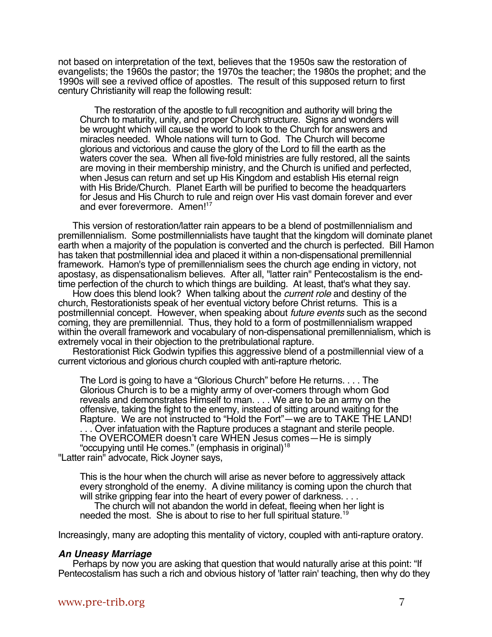not based on interpretation of the text, believes that the 1950s saw the restoration of evangelists; the 1960s the pastor; the 1970s the teacher; the 1980s the prophet; and the 1990s will see a revived office of apostles. The result of this supposed return to first century Christianity will reap the following result:

The restoration of the apostle to full recognition and authority will bring the Church to maturity, unity, and proper Church structure. Signs and wonders will be wrought which will cause the world to look to the Church for answers and miracles needed. Whole nations will turn to God. The Church will become glorious and victorious and cause the glory of the Lord to fill the earth as the waters cover the sea. When all five-fold ministries are fully restored, all the saints are moving in their membership ministry, and the Church is unified and perfected, when Jesus can return and set up His Kingdom and establish His eternal reign with His Bride/Church. Planet Earth will be purified to become the headquarters for Jesus and His Church to rule and reign over His vast domain forever and ever and ever forevermore. Amen!<sup>17</sup>

This version of restoration/latter rain appears to be a blend of postmillennialism and premillennialism. Some postmillennialists have taught that the kingdom will dominate planet earth when a majority of the population is converted and the church is perfected. Bill Hamon has taken that postmillennial idea and placed it within a non-dispensational premillennial framework. Hamon's type of premillennialism sees the church age ending in victory, not apostasy, as dispensationalism believes. After all, "latter rain" Pentecostalism is the endtime perfection of the church to which things are building. At least, that's what they say.

How does this blend look? When talking about the *current role* and destiny of the church, Restorationists speak of her eventual victory before Christ returns. This is a postmillennial concept. However, when speaking about future events such as the second coming, they are premillennial. Thus, they hold to a form of postmillennialism wrapped within the overall framework and vocabulary of non-dispensational premillennialism, which is extremely vocal in their objection to the pretribulational rapture.

Restorationist Rick Godwin typifies this aggressive blend of a postmillennial view of a current victorious and glorious church coupled with anti-rapture rhetoric.

The Lord is going to have a "Glorious Church" before He returns. . . . The Glorious Church is to be a mighty army of over-comers through whom God reveals and demonstrates Himself to man. . . . We are to be an army on the offensive, taking the fight to the enemy, instead of sitting around waiting for the Rapture. We are not instructed to "Hold the Fort"—we are to TAKE THE LAND! . . . Over infatuation with the Rapture produces a stagnant and sterile people. The OVERCOMER doesn't care WHEN Jesus comes—He is simply "occupying until He comes." (emphasis in original)<sup>18</sup> "Latter rain" advocate, Rick Joyner says,

This is the hour when the church will arise as never before to aggressively attack every stronghold of the enemy. A divine militancy is coming upon the church that will strike gripping fear into the heart of every power of darkness. . . .

The church will not abandon the world in defeat, fleeing when her light is needed the most. She is about to rise to her full spiritual stature.<sup>19</sup>

Increasingly, many are adopting this mentality of victory, coupled with anti-rapture oratory.

#### **An Uneasy Marriage**

Perhaps by now you are asking that question that would naturally arise at this point: "If Pentecostalism has such a rich and obvious history of 'latter rain' teaching, then why do they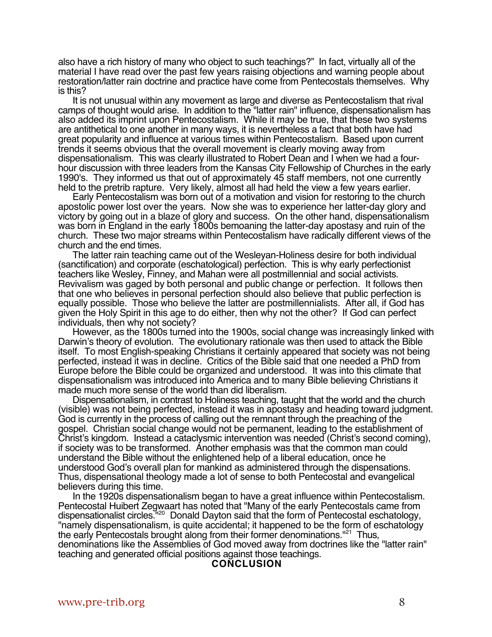also have a rich history of many who object to such teachings?" In fact, virtually all of the material I have read over the past few years raising objections and warning people about restoration/latter rain doctrine and practice have come from Pentecostals themselves. Why is this?

It is not unusual within any movement as large and diverse as Pentecostalism that rival camps of thought would arise. In addition to the "latter rain" influence, dispensationalism has also added its imprint upon Pentecostalism. While it may be true, that these two systems are antithetical to one another in many ways, it is nevertheless a fact that both have had great popularity and influence at various times within Pentecostalism. Based upon current trends it seems obvious that the overall movement is clearly moving away from dispensationalism. This was clearly illustrated to Robert Dean and I when we had a fourhour discussion with three leaders from the Kansas City Fellowship of Churches in the early 1990's. They informed us that out of approximately 45 staff members, not one currently held to the pretrib rapture. Very likely, almost all had held the view a few years earlier.

Early Pentecostalism was born out of a motivation and vision for restoring to the church apostolic power lost over the years. Now she was to experience her latter-day glory and victory by going out in a blaze of glory and success. On the other hand, dispensationalism was born in England in the early 1800s bemoaning the latter-day apostasy and ruin of the church. These two major streams within Pentecostalism have radically different views of the church and the end times.

The latter rain teaching came out of the Wesleyan-Holiness desire for both individual (sanctification) and corporate (eschatological) perfection. This is why early perfectionist teachers like Wesley, Finney, and Mahan were all postmillennial and social activists. Revivalism was gaged by both personal and public change or perfection. It follows then that one who believes in personal perfection should also believe that public perfection is equally possible. Those who believe the latter are postmillennialists. After all, if God has given the Holy Spirit in this age to do either, then why not the other? If God can perfect individuals, then why not society?

However, as the 1800s turned into the 1900s, social change was increasingly linked with Darwin's theory of evolution. The evolutionary rationale was then used to attack the Bible itself. To most English-speaking Christians it certainly appeared that society was not being perfected, instead it was in decline. Critics of the Bible said that one needed a PhD from Europe before the Bible could be organized and understood. It was into this climate that dispensationalism was introduced into America and to many Bible believing Christians it made much more sense of the world than did liberalism.

Dispensationalism, in contrast to Holiness teaching, taught that the world and the church (visible) was not being perfected, instead it was in apostasy and heading toward judgment. God is currently in the process of calling out the remnant through the preaching of the gospel. Christian social change would not be permanent, leading to the establishment of Christ's kingdom. Instead a cataclysmic intervention was needed (Christ's second coming), if society was to be transformed. Another emphasis was that the common man could understand the Bible without the enlightened help of a liberal education, once he understood God's overall plan for mankind as administered through the dispensations. Thus, dispensational theology made a lot of sense to both Pentecostal and evangelical believers during this time.

In the 1920s dispensationalism began to have a great influence within Pentecostalism. Pentecostal Huibert Zegwaart has noted that "Many of the early Pentecostals came from dispensationalist circles."<sup>20</sup> Donald Dayton said that the form of Pentecostal eschatology, "namely dispensationalism, is quite accidental; it happened to be the form of eschatology the early Pentecostals brought along from their former denominations."<sup>21</sup> Thus, denominations like the Assemblies of God moved away from doctrines like the "latter rain" teaching and generated official positions against those teachings.

#### **CONCLUSION**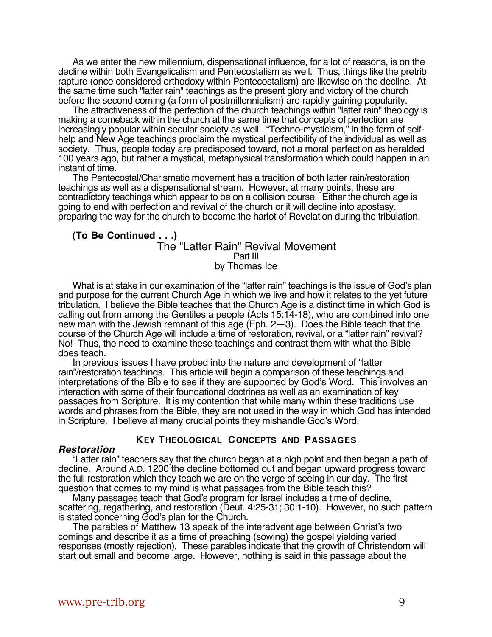As we enter the new millennium, dispensational influence, for a lot of reasons, is on the decline within both Evangelicalism and Pentecostalism as well. Thus, things like the pretrib rapture (once considered orthodoxy within Pentecostalism) are likewise on the decline. At the same time such "latter rain" teachings as the present glory and victory of the church before the second coming (a form of postmillennialism) are rapidly gaining popularity.

The attractiveness of the perfection of the church teachings within "latter rain" theology is making a comeback within the church at the same time that concepts of perfection are increasingly popular within secular society as well. "Techno-mysticism," in the form of selfhelp and New Age teachings proclaim the mystical perfectibility of the individual as well as society. Thus, people today are predisposed toward, not a moral perfection as heralded 100 years ago, but rather a mystical, metaphysical transformation which could happen in an instant of time.

The Pentecostal/Charismatic movement has a tradition of both latter rain/restoration teachings as well as a dispensational stream. However, at many points, these are contradictory teachings which appear to be on a collision course. Either the church age is going to end with perfection and revival of the church or it will decline into apostasy, preparing the way for the church to become the harlot of Revelation during the tribulation.

#### **(To Be Continued . . .)** The "Latter Rain" Revival Movement Part III by Thomas Ice

What is at stake in our examination of the "latter rain" teachings is the issue of God's plan and purpose for the current Church Age in which we live and how it relates to the yet future tribulation. I believe the Bible teaches that the Church Age is a distinct time in which God is calling out from among the Gentiles a people (Acts 15:14-18), who are combined into one new man with the Jewish remnant of this age (Eph. 2—3). Does the Bible teach that the course of the Church Age will include a time of restoration, revival, or a "latter rain" revival? No! Thus, the need to examine these teachings and contrast them with what the Bible does teach.

In previous issues I have probed into the nature and development of "latter rain"/restoration teachings. This article will begin a comparison of these teachings and interpretations of the Bible to see if they are supported by God's Word. This involves an interaction with some of their foundational doctrines as well as an examination of key passages from Scripture. It is my contention that while many within these traditions use words and phrases from the Bible, they are not used in the way in which God has intended in Scripture. I believe at many crucial points they mishandle God's Word.

## **KEY THEOLOGICAL CONCEPTS AND PASSAGES**

#### **Restoration**

"Latter rain" teachers say that the church began at a high point and then began a path of decline. Around A.D. 1200 the decline bottomed out and began upward progress toward the full restoration which they teach we are on the verge of seeing in our day. The first question that comes to my mind is what passages from the Bible teach this?

Many passages teach that God's program for Israel includes a time of decline, scattering, regathering, and restoration (Deut. 4:25-31; 30:1-10). However, no such pattern is stated concerning God's plan for the Church.

The parables of Matthew 13 speak of the interadvent age between Christ's two comings and describe it as a time of preaching (sowing) the gospel yielding varied responses (mostly rejection). These parables indicate that the growth of Christendom will start out small and become large. However, nothing is said in this passage about the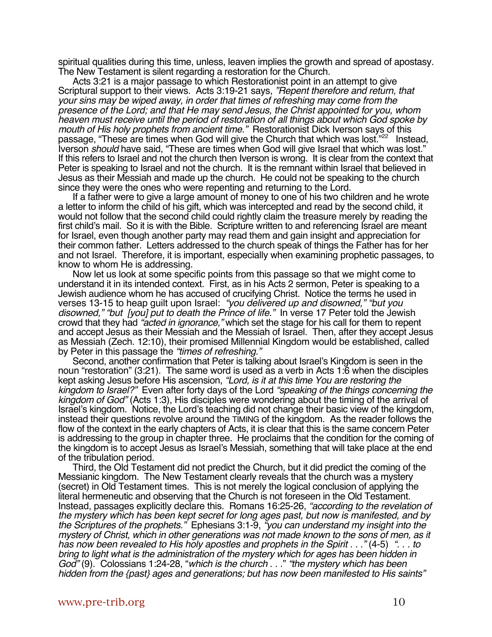spiritual qualities during this time, unless, leaven implies the growth and spread of apostasy. The New Testament is silent regarding a restoration for the Church.

Acts 3:21 is a major passage to which Restorationist point in an attempt to give Scriptural support to their views. Acts 3:19-21 says, "Repent therefore and return, that your sins may be wiped away, in order that times of refreshing may come from the presence of the Lord; and that He may send Jesus, the Christ appointed for you, whom heaven must receive until the period of restoration of all things about which God spoke by mouth of His holy prophets from ancient time." Restorationist Dick Iverson says of this passage, "These are times when God will give the Church that which was lost."<sup>22</sup> Instead, Iverson should have said, "These are times when God will give Israel that which was lost." If this refers to Israel and not the church then Iverson is wrong. It is clear from the context that Peter is speaking to Israel and not the church. It is the remnant within Israel that believed in Jesus as their Messiah and made up the church. He could not be speaking to the church since they were the ones who were repenting and returning to the Lord.

If a father were to give a large amount of money to one of his two children and he wrote a letter to inform the child of his gift, which was intercepted and read by the second child, it would not follow that the second child could rightly claim the treasure merely by reading the first child's mail. So it is with the Bible. Scripture written to and referencing Israel are meant for Israel, even though another party may read them and gain insight and appreciation for their common father. Letters addressed to the church speak of things the Father has for her and not Israel. Therefore, it is important, especially when examining prophetic passages, to know to whom He is addressing.

Now let us look at some specific points from this passage so that we might come to understand it in its intended context. First, as in his Acts 2 sermon, Peter is speaking to a Jewish audience whom he has accused of crucifying Christ. Notice the terms he used in verses 13-15 to heap guilt upon Israel: "you delivered up and disowned," "but you disowned," "but [you] put to death the Prince of life." In verse 17 Peter told the Jewish crowd that they had "acted in ignorance," which set the stage for his call for them to repent and accept Jesus as their Messiah and the Messiah of Israel. Then, after they accept Jesus as Messiah (Zech. 12:10), their promised Millennial Kingdom would be established, called by Peter in this passage the "times of refreshing."

Second, another confirmation that Peter is talking about Israel's Kingdom is seen in the noun "restoration" (3:21). The same word is used as a verb in Acts 1:6 when the disciples kept asking Jesus before His ascension, "Lord, is it at this time You are restoring the kingdom to Israel?" Even after forty days of the Lord "speaking of the things concerning the kingdom of God" (Acts 1:3), His disciples were wondering about the timing of the arrival of Israel's kingdom. Notice, the Lord's teaching did not change their basic view of the kingdom, instead their questions revolve around the TIMING of the kingdom. As the reader follows the flow of the context in the early chapters of Acts, it is clear that this is the same concern Peter is addressing to the group in chapter three. He proclaims that the condition for the coming of the kingdom is to accept Jesus as Israel's Messiah, something that will take place at the end of the tribulation period.

Third, the Old Testament did not predict the Church, but it did predict the coming of the Messianic kingdom. The New Testament clearly reveals that the church was a mystery (secret) in Old Testament times. This is not merely the logical conclusion of applying the literal hermeneutic and observing that the Church is not foreseen in the Old Testament. Instead, passages explicitly declare this. Romans 16:25-26, "according to the revelation of the mystery which has been kept secret for long ages past, but now is manifested, and by the Scriptures of the prophets." Ephesians 3:1-9, "you can understand my insight into the mystery of Christ, which in other generations was not made known to the sons of men, as it has now been revealed to His holy apostles and prophets in the Spirit . . ." (4-5) ". . . to bring to light what is the administration of the mystery which for ages has been hidden in God" (9). Colossians 1:24-28, "which is the church..." "the mystery which has been hidden from the {past} ages and generations; but has now been manifested to His saints"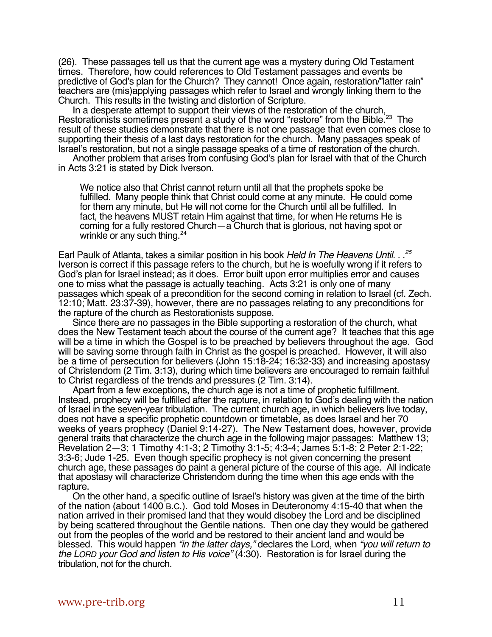(26). These passages tell us that the current age was a mystery during Old Testament times. Therefore, how could references to Old Testament passages and events be predictive of God's plan for the Church? They cannot! Once again, restoration/"latter rain" teachers are (mis)applying passages which refer to Israel and wrongly linking them to the Church. This results in the twisting and distortion of Scripture.

In a desperate attempt to support their views of the restoration of the church, Restorationists sometimes present a study of the word "restore" from the Bible.<sup>23</sup> The result of these studies demonstrate that there is not one passage that even comes close to supporting their thesis of a last days restoration for the church. Many passages speak of Israel's restoration, but not a single passage speaks of a time of restoration of the church.

Another problem that arises from confusing God's plan for Israel with that of the Church in Acts 3:21 is stated by Dick Iverson.

We notice also that Christ cannot return until all that the prophets spoke be fulfilled. Many people think that Christ could come at any minute. He could come for them any minute, but He will not come for the Church until all be fulfilled. In fact, the heavens MUST retain Him against that time, for when He returns He is coming for a fully restored Church—a Church that is glorious, not having spot or wrinkle or any such thing. $24$ 

Earl Paulk of Atlanta, takes a similar position in his book Held In The Heavens Until. . .<sup>25</sup> Iverson is correct if this passage refers to the church, but he is woefully wrong if it refers to God's plan for Israel instead; as it does. Error built upon error multiplies error and causes one to miss what the passage is actually teaching. Acts 3:21 is only one of many passages which speak of a precondition for the second coming in relation to Israel (cf. Zech. 12:10; Matt. 23:37-39), however, there are no passages relating to any preconditions for the rapture of the church as Restorationists suppose.

Since there are no passages in the Bible supporting a restoration of the church, what does the New Testament teach about the course of the current age? It teaches that this age will be a time in which the Gospel is to be preached by believers throughout the age. God will be saving some through faith in Christ as the gospel is preached. However, it will also be a time of persecution for believers (John 15:18-24; 16:32-33) and increasing apostasy of Christendom (2 Tim. 3:13), during which time believers are encouraged to remain faithful to Christ regardless of the trends and pressures (2 Tim. 3:14).

Apart from a few exceptions, the church age is not a time of prophetic fulfillment. Instead, prophecy will be fulfilled after the rapture, in relation to God's dealing with the nation of Israel in the seven-year tribulation. The current church age, in which believers live today, does not have a specific prophetic countdown or timetable, as does Israel and her 70 weeks of years prophecy (Daniel 9:14-27). The New Testament does, however, provide general traits that characterize the church age in the following major passages: Matthew 13; Revelation 2—3; 1 Timothy 4:1-3; 2 Timothy 3:1-5; 4:3-4; James 5:1-8; 2 Peter 2:1-22; 3:3-6; Jude 1-25. Even though specific prophecy is not given concerning the present church age, these passages do paint a general picture of the course of this age. All indicate that apostasy will characterize Christendom during the time when this age ends with the rapture.

On the other hand, a specific outline of Israel's history was given at the time of the birth of the nation (about 1400 B.C.). God told Moses in Deuteronomy 4:15-40 that when the nation arrived in their promised land that they would disobey the Lord and be disciplined by being scattered throughout the Gentile nations. Then one day they would be gathered out from the peoples of the world and be restored to their ancient land and would be blessed. This would happen "in the latter days," declares the Lord, when "you will return to the LORD your God and listen to His voice" (4:30). Restoration is for Israel during the tribulation, not for the church.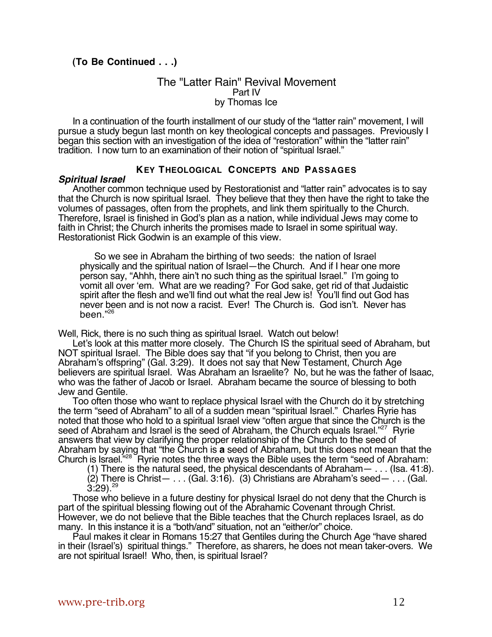## **(To Be Continued . . .)**

### The "Latter Rain" Revival Movement Part IV by Thomas Ice

In a continuation of the fourth installment of our study of the "latter rain" movement, I will pursue a study begun last month on key theological concepts and passages. Previously I began this section with an investigation of the idea of "restoration" within the "latter rain" tradition. I now turn to an examination of their notion of "spiritual Israel."

## **KEY THEOLOGICAL CONCEPTS AND PASSAGES**

#### **Spiritual Israel**

Another common technique used by Restorationist and "latter rain" advocates is to say that the Church is now spiritual Israel. They believe that they then have the right to take the volumes of passages, often from the prophets, and link them spiritually to the Church. Therefore, Israel is finished in God's plan as a nation, while individual Jews may come to faith in Christ; the Church inherits the promises made to Israel in some spiritual way. Restorationist Rick Godwin is an example of this view.

So we see in Abraham the birthing of two seeds: the nation of Israel physically and the spiritual nation of Israel—the Church. And if I hear one more person say, "Ahhh, there ain't no such thing as the spiritual Israel." I'm going to vomit all over 'em. What are we reading? For God sake, get rid of that Judaistic spirit after the flesh and we'll find out what the real Jew is! You'll find out God has never been and is not now a racist. Ever! The Church is. God isn't. Never has been."26

Well, Rick, there is no such thing as spiritual Israel. Watch out below!

Let's look at this matter more closely. The Church IS the spiritual seed of Abraham, but NOT spiritual Israel. The Bible does say that "if you belong to Christ, then you are Abraham's offspring" (Gal. 3:29). It does not say that New Testament, Church Age believers are spiritual Israel. Was Abraham an Israelite? No, but he was the father of Isaac, who was the father of Jacob or Israel. Abraham became the source of blessing to both Jew and Gentile.

Too often those who want to replace physical Israel with the Church do it by stretching the term "seed of Abraham" to all of a sudden mean "spiritual Israel." Charles Ryrie has noted that those who hold to a spiritual Israel view "often argue that since the Church is the seed of Abraham and Israel is the seed of Abraham, the Church equals Israel."<sup>27</sup> Ryrie answers that view by clarifying the proper relationship of the Church to the seed of Abraham by saying that "the Church is **a** seed of Abraham, but this does not mean that the Church is Israel.<sup>"28</sup> Hyrie notes the three ways the Bible uses the term "seed of Abraham:

(1) There is the natural seed, the physical descendants of Abraham— . . . (Isa. 41:8).  $(2)$  There is Christ— . . .  $(Ga. 3:16)$ .  $(3)$  Christians are Abraham's seed— . . .  $(Ga. 1)$  $3.29$ )<sup>29</sup>

Those who believe in a future destiny for physical Israel do not deny that the Church is part of the spiritual blessing flowing out of the Abrahamic Covenant through Christ. However, we do not believe that the Bible teaches that the Church replaces Israel, as do many. In this instance it is a "both/and" situation, not an "either/or" choice.

Paul makes it clear in Romans 15:27 that Gentiles during the Church Age "have shared in their (Israel's) spiritual things." Therefore, as sharers, he does not mean taker-overs. We are not spiritual Israel! Who, then, is spiritual Israel?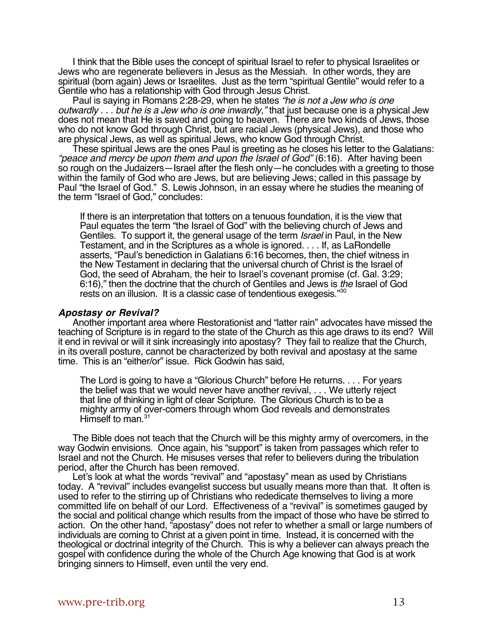I think that the Bible uses the concept of spiritual Israel to refer to physical Israelites or Jews who are regenerate believers in Jesus as the Messiah. In other words, they are spiritual (born again) Jews or Israelites. Just as the term "spiritual Gentile" would refer to a Gentile who has a relationship with God through Jesus Christ.

Paul is saying in Romans 2:28-29, when he states "he is not a Jew who is one outwardly . . . but he is a Jew who is one inwardly," that just because one is a physical Jew does not mean that He is saved and going to heaven. There are two kinds of Jews, those who do not know God through Christ, but are racial Jews (physical Jews), and those who are physical Jews, as well as spiritual Jews, who know God through Christ.

These spiritual Jews are the ones Paul is greeting as he closes his letter to the Galatians: "peace and mercy be upon them and upon the Israel of God" (6:16). After having been so rough on the Judaizers—Israel after the flesh only—he concludes with a greeting to those within the family of God who are Jews, but are believing Jews; called in this passage by Paul "the Israel of God." S. Lewis Johnson, in an essay where he studies the meaning of the term "Israel of God," concludes:

If there is an interpretation that totters on a tenuous foundation, it is the view that Paul equates the term "the Israel of God" with the believing church of Jews and Gentiles. To support it, the general usage of the term *Israel* in Paul, in the New Testament, and in the Scriptures as a whole is ignored. . . . If, as LaRondelle asserts, "Paul's benediction in Galatians 6:16 becomes, then, the chief witness in the New Testament in declaring that the universal church of Christ is the Israel of God, the seed of Abraham, the heir to Israel's covenant promise (cf. Gal. 3:29; 6:16)," then the doctrine that the church of Gentiles and Jews is the Israel of God rests on an illusion. It is a classic case of tendentious exegesis."30

#### **Apostasy or Revival?**

Another important area where Restorationist and "latter rain" advocates have missed the teaching of Scripture is in regard to the state of the Church as this age draws to its end? Will it end in revival or will it sink increasingly into apostasy? They fail to realize that the Church, in its overall posture, cannot be characterized by both revival and apostasy at the same time. This is an "either/or" issue. Rick Godwin has said,

The Lord is going to have a "Glorious Church" before He returns. . . . For years the belief was that we would never have another revival, . . . We utterly reject that line of thinking in light of clear Scripture. The Glorious Church is to be a mighty army of over-comers through whom God reveals and demonstrates Himself to man.<sup>31</sup>

The Bible does not teach that the Church will be this mighty army of overcomers, in the way Godwin envisions. Once again, his "support" is taken from passages which refer to Israel and not the Church. He misuses verses that refer to believers during the tribulation period, after the Church has been removed.

Let's look at what the words "revival" and "apostasy" mean as used by Christians today. A "revival" includes evangelist success but usually means more than that. It often is used to refer to the stirring up of Christians who rededicate themselves to living a more committed life on behalf of our Lord. Effectiveness of a "revival" is sometimes gauged by the social and political change which results from the impact of those who have be stirred to action. On the other hand, "apostasy" does not refer to whether a small or large numbers of individuals are coming to Christ at a given point in time. Instead, it is concerned with the theological or doctrinal integrity of the Church. This is why a believer can always preach the gospel with confidence during the whole of the Church Age knowing that God is at work bringing sinners to Himself, even until the very end.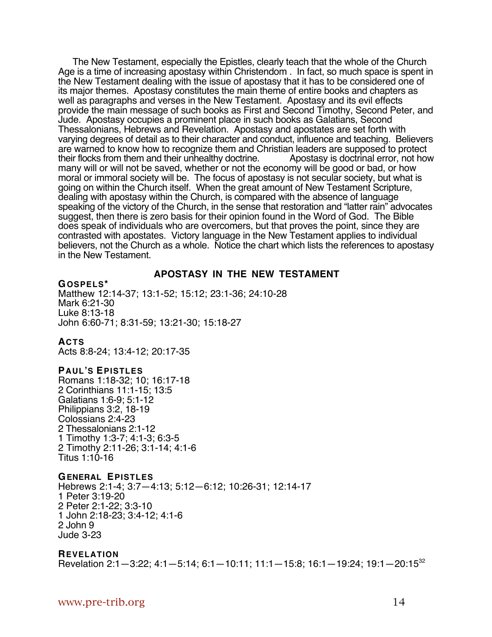The New Testament, especially the Epistles, clearly teach that the whole of the Church Age is a time of increasing apostasy within Christendom . In fact, so much space is spent in the New Testament dealing with the issue of apostasy that it has to be considered one of its major themes. Apostasy constitutes the main theme of entire books and chapters as well as paragraphs and verses in the New Testament. Apostasy and its evil effects provide the main message of such books as First and Second Timothy, Second Peter, and Jude. Apostasy occupies a prominent place in such books as Galatians, Second Thessalonians, Hebrews and Revelation. Apostasy and apostates are set forth with varying degrees of detail as to their character and conduct, influence and teaching. Believers are warned to know how to recognize them and Christian leaders are supposed to protect<br>their flocks from them and their unhealthy doctrine. Apostasy is doctrinal error, not how their flocks from them and their unhealthy doctrine. many will or will not be saved, whether or not the economy will be good or bad, or how moral or immoral society will be. The focus of apostasy is not secular society, but what is going on within the Church itself. When the great amount of New Testament Scripture, dealing with apostasy within the Church, is compared with the absence of language speaking of the victory of the Church, in the sense that restoration and "latter rain" advocates suggest, then there is zero basis for their opinion found in the Word of God. The Bible does speak of individuals who are overcomers, but that proves the point, since they are contrasted with apostates. Victory language in the New Testament applies to individual believers, not the Church as a whole. Notice the chart which lists the references to apostasy in the New Testament.

#### **APOSTASY IN THE NEW TESTAMENT**

**GOSPELS\*** Matthew 12:14-37; 13:1-52; 15:12; 23:1-36; 24:10-28 Mark 6:21-30 Luke 8:13-18 John 6:60-71; 8:31-59; 13:21-30; 15:18-27

## **ACTS**

Acts 8:8-24; 13:4-12; 20:17-35

#### **PAUL'S EPISTLES**

Romans 1:18-32; 10; 16:17-18 2 Corinthians 11:1-15; 13:5 Galatians 1:6-9; 5:1-12 Philippians 3:2, 18-19 Colossians 2:4-23 2 Thessalonians 2:1-12 1 Timothy 1:3-7; 4:1-3; 6:3-5 2 Timothy 2:11-26; 3:1-14; 4:1-6 Titus 1:10-16

#### **GENERAL EPISTLES**

Hebrews 2:1-4; 3:7—4:13; 5:12—6:12; 10:26-31; 12:14-17 1 Peter 3:19-20 2 Peter 2:1-22; 3:3-10 1 John 2:18-23; 3:4-12; 4:1-6 2 John 9 Jude 3-23

#### **REVELATION**

Revelation 2:1—3:22; 4:1—5:14; 6:1—10:11; 11:1—15:8; 16:1—19:24; 19:1—20:1532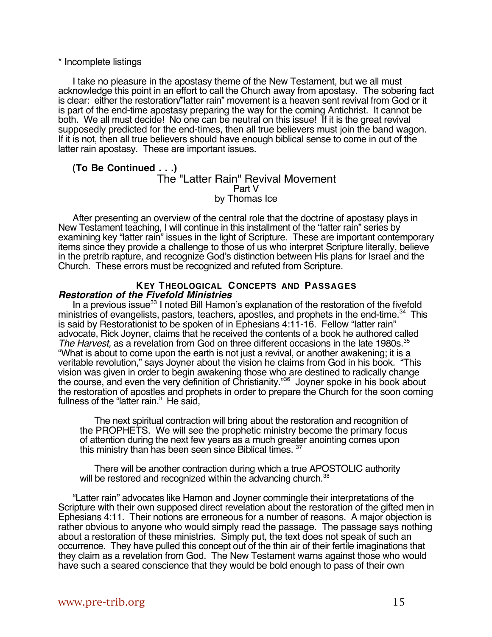#### \* Incomplete listings

I take no pleasure in the apostasy theme of the New Testament, but we all must acknowledge this point in an effort to call the Church away from apostasy. The sobering fact is clear: either the restoration/"latter rain" movement is a heaven sent revival from God or it is part of the end-time apostasy preparing the way for the coming Antichrist. It cannot be both. We all must decide! No one can be neutral on this issue! If it is the great revival supposedly predicted for the end-times, then all true believers must join the band wagon. If it is not, then all true believers should have enough biblical sense to come in out of the latter rain apostasy. These are important issues.

#### **(To Be Continued . . .)** The "Latter Rain" Revival Movement Part V by Thomas Ice

After presenting an overview of the central role that the doctrine of apostasy plays in New Testament teaching, I will continue in this installment of the "latter rain" series by examining key "latter rain" issues in the light of Scripture. These are important contemporary items since they provide a challenge to those of us who interpret Scripture literally, believe in the pretrib rapture, and recognize God's distinction between His plans for Israel and the Church. These errors must be recognized and refuted from Scripture.

### **KEY THEOLOGICAL CONCEPTS AND PASSAGES Restoration of the Fivefold Ministries**

In a previous issue<sup>33</sup> I noted Bill Hamon's explanation of the restoration of the fivefold ministries of evangelists, pastors, teachers, apostles, and prophets in the end-time.<sup>34</sup> This is said by Restorationist to be spoken of in Ephesians 4:11-16. Fellow "latter rain" advocate, Rick Joyner, claims that he received the contents of a book he authored called The Harvest, as a revelation from God on three different occasions in the late 1980s.<sup>35</sup> "What is about to come upon the earth is not just a revival, or another awakening; it is a veritable revolution," says Joyner about the vision he claims from God in his book. "This vision was given in order to begin awakening those who are destined to radically change the course, and even the very definition of Christianity."<sup>36</sup> Joyner spoke in his book about the restoration of apostles and prophets in order to prepare the Church for the soon coming fullness of the "latter rain." He said,

The next spiritual contraction will bring about the restoration and recognition of the PROPHETS. We will see the prophetic ministry become the primary focus of attention during the next few years as a much greater anointing comes upon this ministry than has been seen since Biblical times.<sup>3</sup>

There will be another contraction during which a true APOSTOLIC authority will be restored and recognized within the advancing church.<sup>38</sup>

"Latter rain" advocates like Hamon and Joyner commingle their interpretations of the Scripture with their own supposed direct revelation about the restoration of the gifted men in Ephesians 4:11. Their notions are erroneous for a number of reasons. A major objection is rather obvious to anyone who would simply read the passage. The passage says nothing about a restoration of these ministries. Simply put, the text does not speak of such an occurrence. They have pulled this concept out of the thin air of their fertile imaginations that they claim as a revelation from God. The New Testament warns against those who would have such a seared conscience that they would be bold enough to pass of their own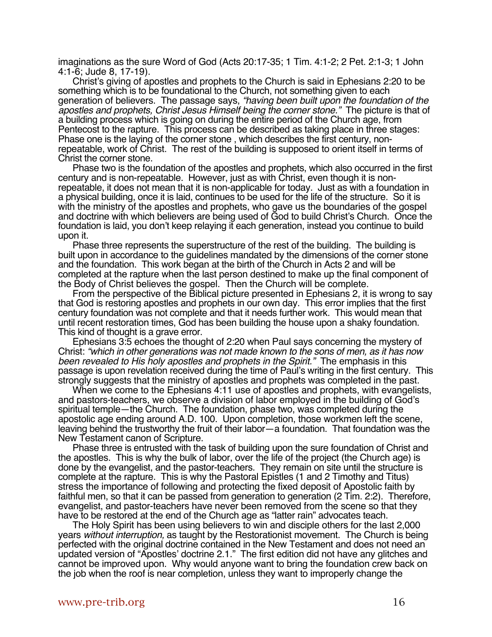imaginations as the sure Word of God (Acts 20:17-35; 1 Tim. 4:1-2; 2 Pet. 2:1-3; 1 John 4:1-6; Jude 8, 17-19).

Christ's giving of apostles and prophets to the Church is said in Ephesians 2:20 to be something which is to be foundational to the Church, not something given to each generation of believers. The passage says, "having been built upon the foundation of the apostles and prophets, Christ Jesus Himself being the corner stone." The picture is that of a building process which is going on during the entire period of the Church age, from Pentecost to the rapture. This process can be described as taking place in three stages: Phase one is the laying of the corner stone , which describes the first century, nonrepeatable, work of Christ. The rest of the building is supposed to orient itself in terms of Christ the corner stone.

Phase two is the foundation of the apostles and prophets, which also occurred in the first century and is non-repeatable. However, just as with Christ, even though it is nonrepeatable, it does not mean that it is non-applicable for today. Just as with a foundation in a physical building, once it is laid, continues to be used for the life of the structure. So it is with the ministry of the apostles and prophets, who gave us the boundaries of the gospel and doctrine with which believers are being used of God to build Christ's Church. Once the foundation is laid, you don't keep relaying it each generation, instead you continue to build upon it.

Phase three represents the superstructure of the rest of the building. The building is built upon in accordance to the guidelines mandated by the dimensions of the corner stone and the foundation. This work began at the birth of the Church in Acts 2 and will be completed at the rapture when the last person destined to make up the final component of the Body of Christ believes the gospel. Then the Church will be complete.

From the perspective of the Biblical picture presented in Ephesians 2, it is wrong to say that God is restoring apostles and prophets in our own day. This error implies that the first century foundation was not complete and that it needs further work. This would mean that until recent restoration times, God has been building the house upon a shaky foundation. This kind of thought is a grave error.

Ephesians 3:5 echoes the thought of 2:20 when Paul says concerning the mystery of Christ: "which in other generations was not made known to the sons of men, as it has now been revealed to His holy apostles and prophets in the Spirit." The emphasis in this passage is upon revelation received during the time of Paul's writing in the first century. This strongly suggests that the ministry of apostles and prophets was completed in the past.

When we come to the Ephesians 4:11 use of apostles and prophets, with evangelists, and pastors-teachers, we observe a division of labor employed in the building of God's spiritual temple—the Church. The foundation, phase two, was completed during the apostolic age ending around A.D. 100. Upon completion, those workmen left the scene, leaving behind the trustworthy the fruit of their labor—a foundation. That foundation was the New Testament canon of Scripture.

Phase three is entrusted with the task of building upon the sure foundation of Christ and the apostles. This is why the bulk of labor, over the life of the project (the Church age) is done by the evangelist, and the pastor-teachers. They remain on site until the structure is complete at the rapture. This is why the Pastoral Epistles (1 and 2 Timothy and Titus) stress the importance of following and protecting the fixed deposit of Apostolic faith by faithful men, so that it can be passed from generation to generation (2 Tim. 2:2). Therefore, evangelist, and pastor-teachers have never been removed from the scene so that they have to be restored at the end of the Church age as "latter rain" advocates teach.

The Holy Spirit has been using believers to win and disciple others for the last 2,000 years without interruption, as taught by the Restorationist movement. The Church is being perfected with the original doctrine contained in the New Testament and does not need an updated version of "Apostles' doctrine 2.1." The first edition did not have any glitches and cannot be improved upon. Why would anyone want to bring the foundation crew back on the job when the roof is near completion, unless they want to improperly change the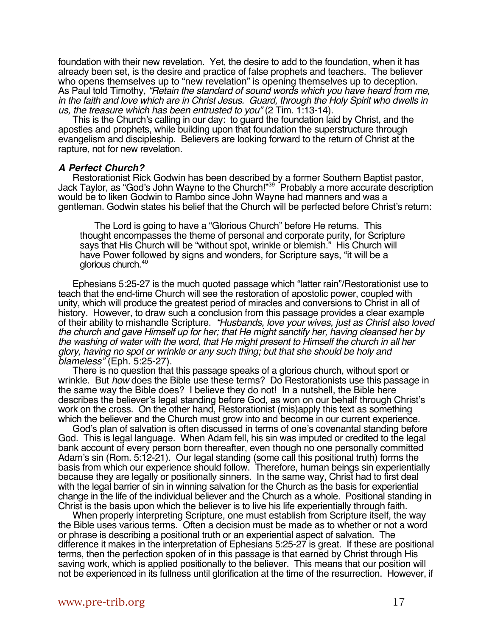foundation with their new revelation. Yet, the desire to add to the foundation, when it has already been set, is the desire and practice of false prophets and teachers. The believer who opens themselves up to "new revelation" is opening themselves up to deception. As Paul told Timothy, "Retain the standard of sound words which you have heard from me, in the faith and love which are in Christ Jesus. Guard, through the Holy Spirit who dwells in us, the treasure which has been entrusted to you" (2 Tim. 1:13-14).

This is the Church's calling in our day: to guard the foundation laid by Christ, and the apostles and prophets, while building upon that foundation the superstructure through evangelism and discipleship. Believers are looking forward to the return of Christ at the rapture, not for new revelation.

#### **A Perfect Church?**

Restorationist Rick Godwin has been described by a former Southern Baptist pastor, Jack Taylor, as "God's John Wayne to the Church!"<sup>39</sup> Probably a more accurate description would be to liken Godwin to Rambo since John Wayne had manners and was a gentleman. Godwin states his belief that the Church will be perfected before Christ's return:

The Lord is going to have a "Glorious Church" before He returns. This thought encompasses the theme of personal and corporate purity, for Scripture says that His Church will be "without spot, wrinkle or blemish." His Church will have Power followed by signs and wonders, for Scripture says, "it will be a glorious church.40

Ephesians 5:25-27 is the much quoted passage which "latter rain"/Restorationist use to teach that the end-time Church will see the restoration of apostolic power, coupled with unity, which will produce the greatest period of miracles and conversions to Christ in all of history. However, to draw such a conclusion from this passage provides a clear example of their ability to mishandle Scripture. "Husbands, love your wives, just as Christ also loved the church and gave Himself up for her; that He might sanctify her, having cleansed her by the washing of water with the word, that He might present to Himself the church in all her glory, having no spot or wrinkle or any such thing; but that she should be holy and blameless" (Eph. 5:25-27).

There is no question that this passage speaks of a glorious church, without sport or wrinkle. But how does the Bible use these terms? Do Restorationists use this passage in the same way the Bible does? I believe they do not! In a nutshell, the Bible here describes the believer's legal standing before God, as won on our behalf through Christ's work on the cross. On the other hand, Restorationist (mis)apply this text as something which the believer and the Church must grow into and become in our current experience.

God's plan of salvation is often discussed in terms of one's covenantal standing before God. This is legal language. When Adam fell, his sin was imputed or credited to the legal bank account of every person born thereafter, even though no one personally committed Adam's sin (Rom. 5:12-21). Our legal standing (some call this positional truth) forms the basis from which our experience should follow. Therefore, human beings sin experientially because they are legally or positionally sinners. In the same way, Christ had to first deal with the legal barrier of sin in winning salvation for the Church as the basis for experiential change in the life of the individual believer and the Church as a whole. Positional standing in Christ is the basis upon which the believer is to live his life experientially through faith.

When properly interpreting Scripture, one must establish from Scripture itself, the way the Bible uses various terms. Often a decision must be made as to whether or not a word or phrase is describing a positional truth or an experiential aspect of salvation. The difference it makes in the interpretation of Ephesians 5:25-27 is great. If these are positional terms, then the perfection spoken of in this passage is that earned by Christ through His saving work, which is applied positionally to the believer. This means that our position will not be experienced in its fullness until glorification at the time of the resurrection. However, if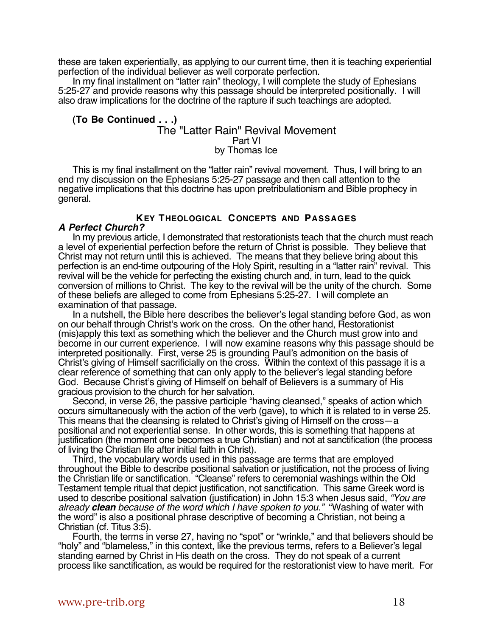these are taken experientially, as applying to our current time, then it is teaching experiential perfection of the individual believer as well corporate perfection.

In my final installment on "latter rain" theology, I will complete the study of Ephesians 5:25-27 and provide reasons why this passage should be interpreted positionally. I will also draw implications for the doctrine of the rapture if such teachings are adopted.

#### **(To Be Continued . . .)** The "Latter Rain" Revival Movement Part VI by Thomas Ice

This is my final installment on the "latter rain" revival movement. Thus, I will bring to an end my discussion on the Ephesians 5:25-27 passage and then call attention to the negative implications that this doctrine has upon pretribulationism and Bible prophecy in general.

# **KEY THEOLOGICAL CONCEPTS AND PASSAGES**

## **A Perfect Church?**

In my previous article, I demonstrated that restorationists teach that the church must reach a level of experiential perfection before the return of Christ is possible. They believe that Christ may not return until this is achieved. The means that they believe bring about this perfection is an end-time outpouring of the Holy Spirit, resulting in a "latter rain" revival. This revival will be the vehicle for perfecting the existing church and, in turn, lead to the quick conversion of millions to Christ. The key to the revival will be the unity of the church. Some of these beliefs are alleged to come from Ephesians 5:25-27. I will complete an examination of that passage.

In a nutshell, the Bible here describes the believer's legal standing before God, as won on our behalf through Christ's work on the cross. On the other hand, Restorationist (mis)apply this text as something which the believer and the Church must grow into and become in our current experience. I will now examine reasons why this passage should be interpreted positionally. First, verse 25 is grounding Paul's admonition on the basis of Christ's giving of Himself sacrificially on the cross. Within the context of this passage it is a clear reference of something that can only apply to the believer's legal standing before God. Because Christ's giving of Himself on behalf of Believers is a summary of His gracious provision to the church for her salvation.

Second, in verse 26, the passive participle "having cleansed," speaks of action which occurs simultaneously with the action of the verb (gave), to which it is related to in verse 25. This means that the cleansing is related to Christ's giving of Himself on the cross—a positional and not experiential sense. In other words, this is something that happens at justification (the moment one becomes a true Christian) and not at sanctification (the process of living the Christian life after initial faith in Christ).

Third, the vocabulary words used in this passage are terms that are employed throughout the Bible to describe positional salvation or justification, not the process of living the Christian life or sanctification. "Cleanse" refers to ceremonial washings within the Old Testament temple ritual that depict justification, not sanctification. This same Greek word is used to describe positional salvation (justification) in John 15:3 when Jesus said, "You are already **clean** because of the word which I have spoken to you." "Washing of water with the word" is also a positional phrase descriptive of becoming a Christian, not being a Christian (cf. Titus 3:5).

Fourth, the terms in verse 27, having no "spot" or "wrinkle," and that believers should be "holy" and "blameless," in this context, like the previous terms, refers to a Believer's legal standing earned by Christ in His death on the cross. They do not speak of a current process like sanctification, as would be required for the restorationist view to have merit. For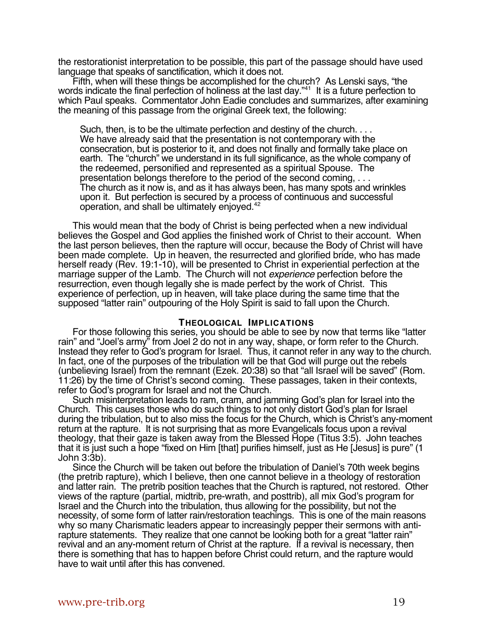the restorationist interpretation to be possible, this part of the passage should have used language that speaks of sanctification, which it does not.

Fifth, when will these things be accomplished for the church? As Lenski says, "the words indicate the final perfection of holiness at the last day."<sup>41</sup> It is a future perfection to which Paul speaks. Commentator John Eadie concludes and summarizes, after examining the meaning of this passage from the original Greek text, the following:

Such, then, is to be the ultimate perfection and destiny of the church. . . . We have already said that the presentation is not contemporary with the consecration, but is posterior to it, and does not finally and formally take place on earth. The "church" we understand in its full significance, as the whole company of the redeemed, personified and represented as a spiritual Spouse. The presentation belongs therefore to the period of the second coming, . . . The church as it now is, and as it has always been, has many spots and wrinkles upon it. But perfection is secured by a process of continuous and successful operation, and shall be ultimately enjoyed.42

This would mean that the body of Christ is being perfected when a new individual believes the Gospel and God applies the finished work of Christ to their account. When the last person believes, then the rapture will occur, because the Body of Christ will have been made complete. Up in heaven, the resurrected and glorified bride, who has made herself ready (Rev. 19:1-10), will be presented to Christ in experiential perfection at the marriage supper of the Lamb. The Church will not *experience* perfection before the resurrection, even though legally she is made perfect by the work of Christ. This experience of perfection, up in heaven, will take place during the same time that the supposed "latter rain" outpouring of the Holy Spirit is said to fall upon the Church.

#### **THEOLOGICAL IMPLICATIONS**

For those following this series, you should be able to see by now that terms like "latter rain" and "Joel's army" from Joel 2 do not in any way, shape, or form refer to the Church. Instead they refer to God's program for Israel. Thus, it cannot refer in any way to the church. In fact, one of the purposes of the tribulation will be that God will purge out the rebels (unbelieving Israel) from the remnant (Ezek. 20:38) so that "all Israel will be saved" (Rom. 11:26) by the time of Christ's second coming. These passages, taken in their contexts, refer to God's program for Israel and not the Church.

Such misinterpretation leads to ram, cram, and jamming God's plan for Israel into the Church. This causes those who do such things to not only distort God's plan for Israel during the tribulation, but to also miss the focus for the Church, which is Christ's any-moment return at the rapture. It is not surprising that as more Evangelicals focus upon a revival theology, that their gaze is taken away from the Blessed Hope (Titus 3:5). John teaches that it is just such a hope "fixed on Him [that] purifies himself, just as He [Jesus] is pure" (1 John 3:3b).

Since the Church will be taken out before the tribulation of Daniel's 70th week begins (the pretrib rapture), which I believe, then one cannot believe in a theology of restoration and latter rain. The pretrib position teaches that the Church is raptured, not restored. Other views of the rapture (partial, midtrib, pre-wrath, and posttrib), all mix God's program for Israel and the Church into the tribulation, thus allowing for the possibility, but not the necessity, of some form of latter rain/restoration teachings. This is one of the main reasons why so many Charismatic leaders appear to increasingly pepper their sermons with antirapture statements. They realize that one cannot be looking both for a great "latter rain" revival and an any-moment return of Christ at the rapture. If a revival is necessary, then there is something that has to happen before Christ could return, and the rapture would have to wait until after this has convened.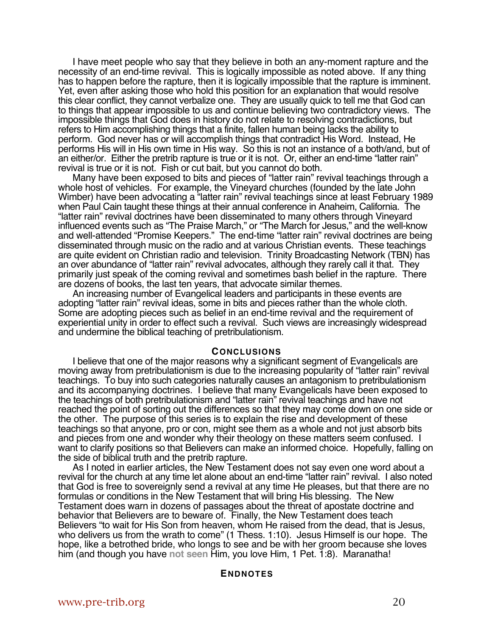I have meet people who say that they believe in both an any-moment rapture and the necessity of an end-time revival. This is logically impossible as noted above. If any thing has to happen before the rapture, then it is logically impossible that the rapture is imminent. Yet, even after asking those who hold this position for an explanation that would resolve this clear conflict, they cannot verbalize one. They are usually quick to tell me that God can to things that appear impossible to us and continue believing two contradictory views. The impossible things that God does in history do not relate to resolving contradictions, but refers to Him accomplishing things that a finite, fallen human being lacks the ability to perform. God never has or will accomplish things that contradict His Word. Instead, He performs His will in His own time in His way. So this is not an instance of a both/and, but of an either/or. Either the pretrib rapture is true or it is not. Or, either an end-time "latter rain" revival is true or it is not. Fish or cut bait, but you cannot do both.

Many have been exposed to bits and pieces of "latter rain" revival teachings through a whole host of vehicles. For example, the Vineyard churches (founded by the late John Wimber) have been advocating a "latter rain" revival teachings since at least February 1989 when Paul Cain taught these things at their annual conference in Anaheim, California. The "latter rain" revival doctrines have been disseminated to many others through Vineyard influenced events such as "The Praise March," or "The March for Jesus," and the well-know and well-attended "Promise Keepers." The end-time "latter rain" revival doctrines are being disseminated through music on the radio and at various Christian events. These teachings are quite evident on Christian radio and television. Trinity Broadcasting Network (TBN) has an over abundance of "latter rain" revival advocates, although they rarely call it that. They primarily just speak of the coming revival and sometimes bash belief in the rapture. There are dozens of books, the last ten years, that advocate similar themes.

An increasing number of Evangelical leaders and participants in these events are adopting "latter rain" revival ideas, some in bits and pieces rather than the whole cloth. Some are adopting pieces such as belief in an end-time revival and the requirement of experiential unity in order to effect such a revival. Such views are increasingly widespread and undermine the biblical teaching of pretribulationism.

#### **CONCLUSIONS**

I believe that one of the major reasons why a significant segment of Evangelicals are moving away from pretribulationism is due to the increasing popularity of "latter rain" revival teachings. To buy into such categories naturally causes an antagonism to pretribulationism and its accompanying doctrines. I believe that many Evangelicals have been exposed to the teachings of both pretribulationism and "latter rain" revival teachings and have not reached the point of sorting out the differences so that they may come down on one side or the other. The purpose of this series is to explain the rise and development of these teachings so that anyone, pro or con, might see them as a whole and not just absorb bits and pieces from one and wonder why their theology on these matters seem confused. I want to clarify positions so that Believers can make an informed choice. Hopefully, falling on the side of biblical truth and the pretrib rapture.

As I noted in earlier articles, the New Testament does not say even one word about a revival for the church at any time let alone about an end-time "latter rain" revival. I also noted that God is free to sovereignly send a revival at any time He pleases, but that there are no formulas or conditions in the New Testament that will bring His blessing. The New Testament does warn in dozens of passages about the threat of apostate doctrine and behavior that Believers are to beware of. Finally, the New Testament does teach Believers "to wait for His Son from heaven, whom He raised from the dead, that is Jesus, who delivers us from the wrath to come" (1 Thess. 1:10). Jesus Himself is our hope. The hope, like a betrothed bride, who longs to see and be with her groom because she loves him (and though you have **not seen** Him, you love Him, 1 Pet. 1:8). Maranatha!

#### **ENDNOTES**